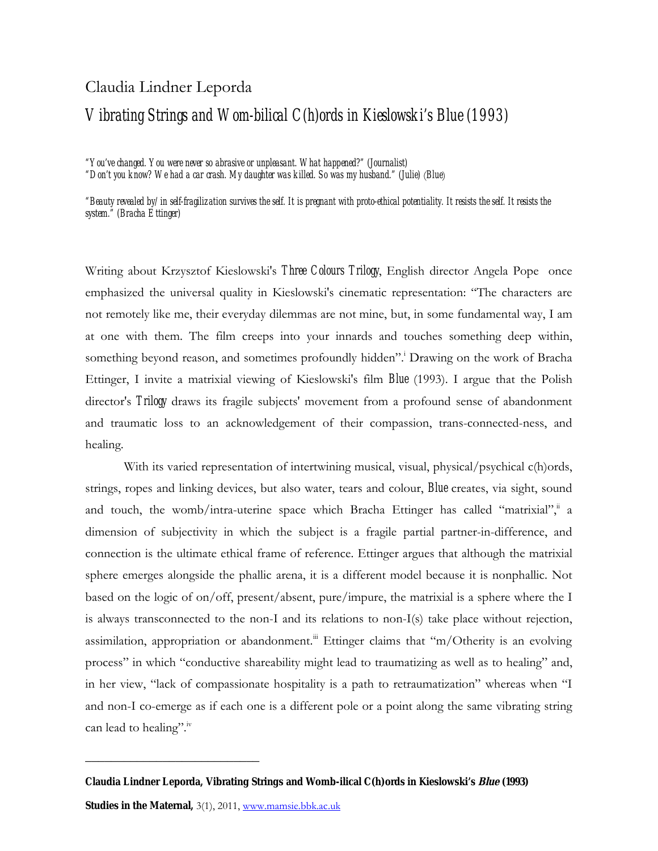# Claudia Lindner Leporda

# *Vibrating Strings and Wom-bilical C(h)ords in Kieslowski's Blue (1993)*

*"You've changed. You were never so abrasive or unpleasant. What happened?" (Journalist)*

*"Don't you know? We had a car crash. My daughter was killed. So was my husband." (Julie)* (*Blue*)

*"Beauty revealed by/in self-fragilization survives the self. It is pregnant with proto-ethical potentiality. It resists the self. It resists the system." (Bracha Ettinger)*

Writing about Krzysztof Kieslowski's *Three Colours Trilogy*, English director Angela Pope once emphasized the universal quality in Kieslowski's cinematic representation: "The characters are not remotely like me, their everyday dilemmas are not mine, but, in some fundamental way, I am at one with them. The film creeps into your innards and touches something deep within, something beyond reason, and sometimes profoundly hidden". Drawing on the work of Bracha Ettinger, I invite a matrixial viewing of Kieslowski's film *Blue* (1993). I argue that the Polish director's *Trilogy* draws its fragile subjects' movement from a profound sense of abandonment and traumatic loss to an acknowledgement of their compassion, trans-connected-ness, and healing.

With its varied representation of intertwining musical, visual, physical/psychical c(h)ords, strings, ropes and linking devices, but also water, tears and colour, *Blue* creates, via sight, sound and touch, the womb/intra-uterine space which Bracha Ettinger has called "matrixial", a dimension of subjectivity in which the subject is a fragile partial partner-in-difference, and connection is the ultimate ethical frame of reference. Ettinger argues that although the matrixial sphere emerges alongside the phallic arena, it is a different model because it is nonphallic. Not based on the logic of on/off, present/absent, pure/impure, the matrixial is a sphere where the I is always transconnected to the non-I and its relations to non-I(s) take place without rejection, assimilation, appropriation or abandonment.<sup>iii</sup> Ettinger claims that "m/Otherity is an evolving process" in which "conductive shareability might lead to traumatizing as well as to healing" and, in her view, "lack of compassionate hospitality is a path to retraumatization" whereas when "I and non-I co-emerge as if each one is a different pole or a point along the same vibrating string can lead to healing".<sup>iv</sup>

**Claudia Lindner Leporda, Vibrating Strings and Womb-ilical C(h)ords in Kieslowski's Blue (1993)**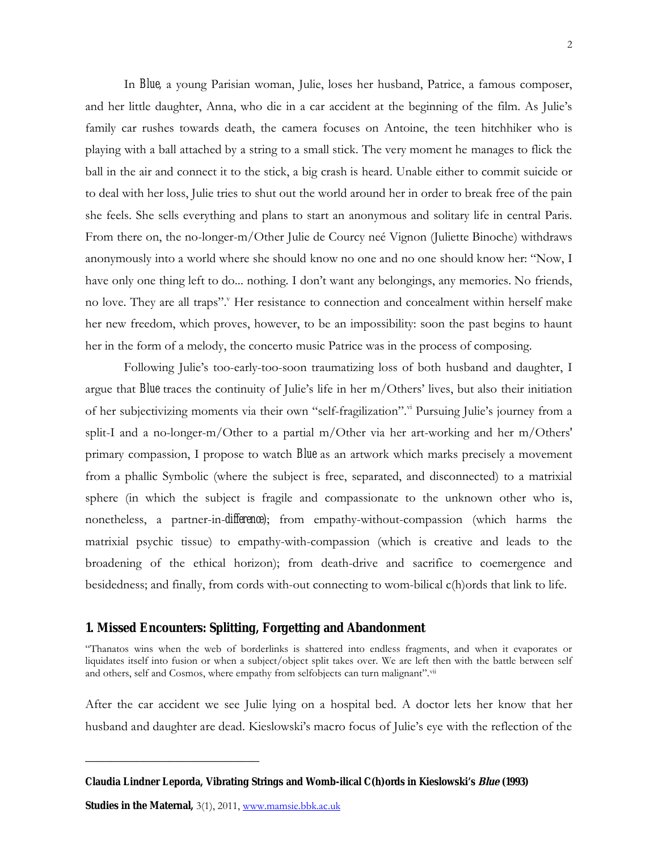In *Blue,* a young Parisian woman, Julie, loses her husband, Patrice, a famous composer, and her little daughter, Anna, who die in a car accident at the beginning of the film. As Julie's family car rushes towards death, the camera focuses on Antoine, the teen hitchhiker who is playing with a ball attached by a string to a small stick. The very moment he manages to flick the ball in the air and connect it to the stick, a big crash is heard. Unable either to commit suicide or to deal with her loss, Julie tries to shut out the world around her in order to break free of the pain she feels. She sells everything and plans to start an anonymous and solitary life in central Paris. From there on, the no-longer-m/Other Julie de Courcy neé Vignon (Juliette Binoche) withdraws anonymously into a world where she should know no one and no one should know her: "Now, I have only one thing left to do... nothing. I don't want any belongings, any memories. No friends, no love. They are all traps". Her resistance to connection and concealment within herself make her new freedom, which proves, however, to be an impossibility: soon the past begins to haunt her in the form of a melody, the concerto music Patrice was in the process of composing.

Following Julie's too-early-too-soon traumatizing loss of both husband and daughter, I argue that *Blue* traces the continuity of Julie's life in her m/Others' lives, but also their initiation of her subjectivizing moments via their own "self-fragilization". Pursuing Julie's journey from a split-I and a no-longer-m/Other to a partial m/Other via her art-working and her m/Others' primary compassion, I propose to watch *Blue* as an artwork which marks precisely a movement from a phallic Symbolic (where the subject is free, separated, and disconnected) to a matrixial sphere (in which the subject is fragile and compassionate to the unknown other who is, nonetheless, a partner-in-*difference)*; from empathy-without-compassion (which harms the matrixial psychic tissue) to empathy-with-compassion (which is creative and leads to the broadening of the ethical horizon); from death-drive and sacrifice to coemergence and besidedness; and finally, from cords with-out connecting to wom-bilical c(h)ords that link to life.

#### **1. Missed Encounters: Splitting, Forgetting and Abandonment**

"Thanatos wins when the web of borderlinks is shattered into endless fragments, and when it evaporates or liquidates itself into fusion or when a subject/object split takes over. We are left then with the battle between self and others, self and Cosmos, where empathy from selfobjects can turn malignant".vii

After the car accident we see Julie lying on a hospital bed. A doctor lets her know that her husband and daughter are dead. Kieslowski's macro focus of Julie's eye with the reflection of the

**Studies in the Maternal,** 3(1), 2011, www.mamsie.bbk.ac.uk

**Claudia Lindner Leporda, Vibrating Strings and Womb-ilical C(h)ords in Kieslowski's Blue (1993)**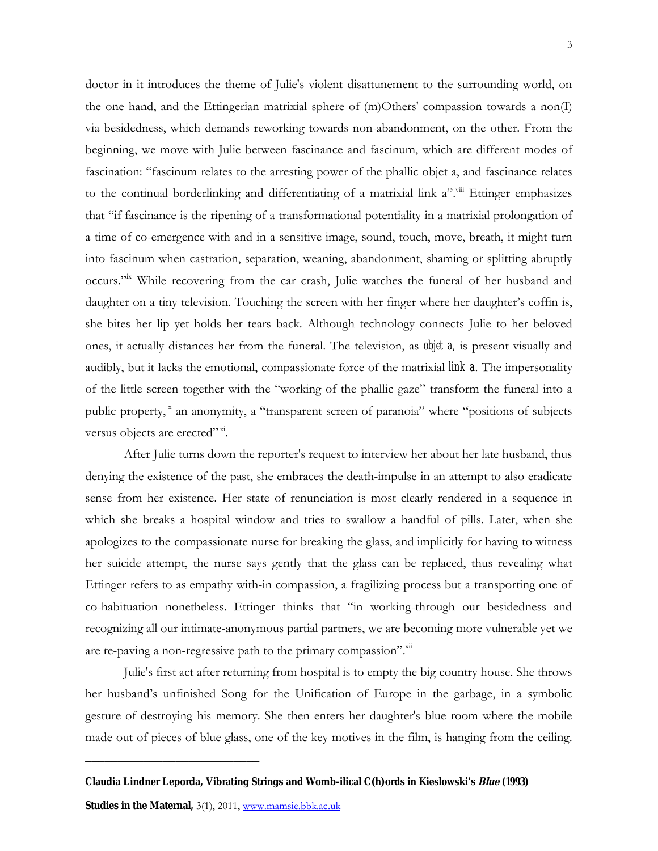doctor in it introduces the theme of Julie's violent disattunement to the surrounding world, on the one hand, and the Ettingerian matrixial sphere of (m)Others' compassion towards a non(I) via besidedness, which demands reworking towards non-abandonment, on the other. From the beginning, we move with Julie between fascinance and fascinum, which are different modes of fascination: "fascinum relates to the arresting power of the phallic objet a, and fascinance relates to the continual borderlinking and differentiating of a matrixial link a".<sup>viii</sup> Ettinger emphasizes that "if fascinance is the ripening of a transformational potentiality in a matrixial prolongation of a time of co-emergence with and in a sensitive image, sound, touch, move, breath, it might turn into fascinum when castration, separation, weaning, abandonment, shaming or splitting abruptly occurs."<sup>ix</sup> While recovering from the car crash, Julie watches the funeral of her husband and daughter on a tiny television. Touching the screen with her finger where her daughter's coffin is, she bites her lip yet holds her tears back. Although technology connects Julie to her beloved ones, it actually distances her from the funeral. The television, as *objet a,* is present visually and audibly, but it lacks the emotional, compassionate force of the matrixial *link a*. The impersonality of the little screen together with the "working of the phallic gaze" transform the funeral into a public property,  $x$  an anonymity, a "transparent screen of paranoia" where "positions of subjects versus objects are erected"<sup>xi</sup>.

After Julie turns down the reporter's request to interview her about her late husband, thus denying the existence of the past, she embraces the death-impulse in an attempt to also eradicate sense from her existence. Her state of renunciation is most clearly rendered in a sequence in which she breaks a hospital window and tries to swallow a handful of pills. Later, when she apologizes to the compassionate nurse for breaking the glass, and implicitly for having to witness her suicide attempt, the nurse says gently that the glass can be replaced, thus revealing what Ettinger refers to as empathy with-in compassion, a fragilizing process but a transporting one of co-habituation nonetheless. Ettinger thinks that "in working-through our besidedness and recognizing all our intimate-anonymous partial partners, we are becoming more vulnerable yet we are re-paving a non-regressive path to the primary compassion". Xii

Julie's first act after returning from hospital is to empty the big country house. She throws her husband's unfinished Song for the Unification of Europe in the garbage, in a symbolic gesture of destroying his memory. She then enters her daughter's blue room where the mobile made out of pieces of blue glass, one of the key motives in the film, is hanging from the ceiling.

**Claudia Lindner Leporda, Vibrating Strings and Womb-ilical C(h)ords in Kieslowski's Blue (1993)**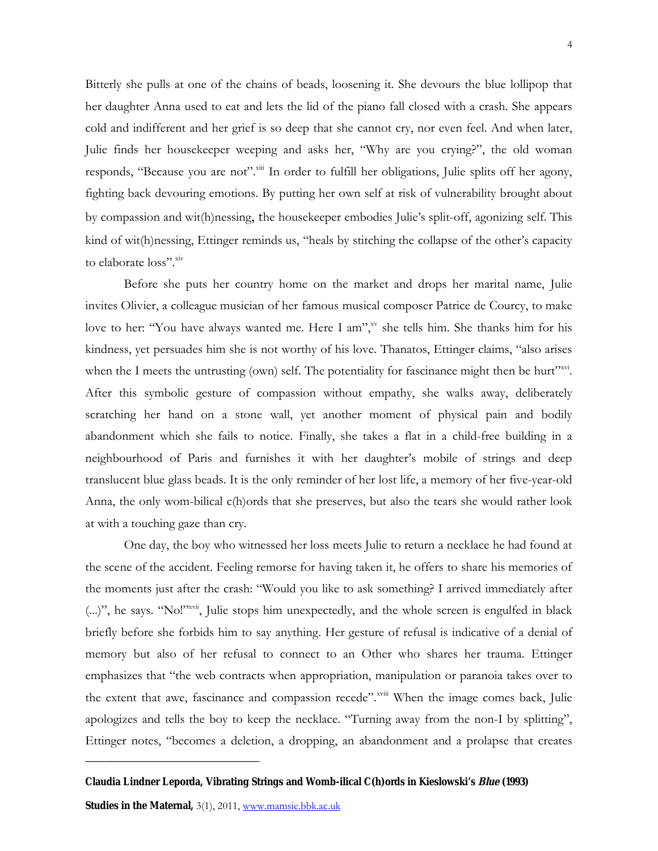Bitterly she pulls at one of the chains of beads, loosening it. She devours the blue lollipop that her daughter Anna used to eat and lets the lid of the piano fall closed with a crash. She appears cold and indifferent and her grief is so deep that she cannot cry, nor even feel. And when later, Julie finds her housekeeper weeping and asks her, "Why are you crying?", the old woman responds, "Because you are not".<sup>xiii</sup> In order to fulfill her obligations, Julie splits off her agony, fighting back devouring emotions. By putting her own self at risk of vulnerability brought about by compassion and wit(h)nessing, the housekeeper embodies Julie's split-off, agonizing self. This kind of wit(h)nessing, Ettinger reminds us, "heals by stitching the collapse of the other's capacity to elaborate loss". Xiv

Before she puts her country home on the market and drops her marital name, Julie invites Olivier, a colleague musician of her famous musical composer Patrice de Courcy, to make love to her: "You have always wanted me. Here I am"," she tells him. She thanks him for his kindness, yet persuades him she is not worthy of his love. Thanatos, Ettinger claims, "also arises when the I meets the untrusting (own) self. The potentiality for fascinance might then be hurt"xvi. After this symbolic gesture of compassion without empathy, she walks away, deliberately scratching her hand on a stone wall, yet another moment of physical pain and bodily abandonment which she fails to notice. Finally, she takes a flat in a child-free building in a neighbourhood of Paris and furnishes it with her daughter's mobile of strings and deep translucent blue glass beads. It is the only reminder of her lost life, a memory of her five-year-old Anna, the only wom-bilical c(h)ords that she preserves, but also the tears she would rather look at with a touching gaze than cry.

One day, the boy who witnessed her loss meets Julie to return a necklace he had found at the scene of the accident. Feeling remorse for having taken it, he offers to share his memories of the moments just after the crash: "Would you like to ask something? I arrived immediately after (...)", he says. "No!"xvii, Julie stops him unexpectedly, and the whole screen is engulfed in black briefly before she forbids him to say anything. Her gesture of refusal is indicative of a denial of memory but also of her refusal to connect to an Other who shares her trauma. Ettinger emphasizes that "the web contracts when appropriation, manipulation or paranoia takes over to the extent that awe, fascinance and compassion recede".<sup>xviii</sup> When the image comes back, Julie apologizes and tells the boy to keep the necklace. "Turning away from the non-I by splitting", Ettinger notes, "becomes a deletion, a dropping, an abandonment and a prolapse that creates

**Claudia Lindner Leporda, Vibrating Strings and Womb-ilical C(h)ords in Kieslowski's Blue (1993)**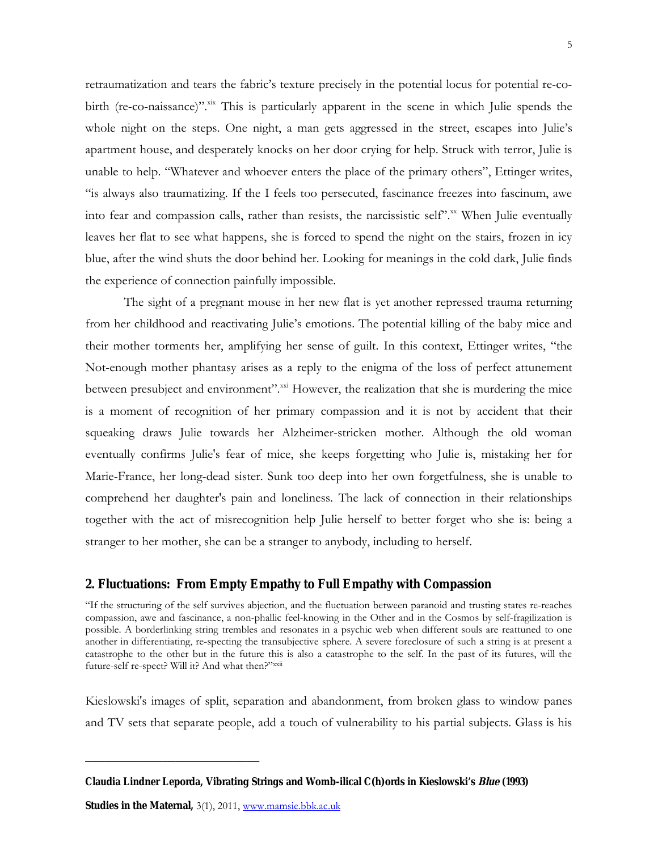retraumatization and tears the fabric's texture precisely in the potential locus for potential re-cobirth (re-co-naissance)".<sup>xix</sup> This is particularly apparent in the scene in which Julie spends the whole night on the steps. One night, a man gets aggressed in the street, escapes into Julie's apartment house, and desperately knocks on her door crying for help. Struck with terror, Julie is unable to help. "Whatever and whoever enters the place of the primary others", Ettinger writes, "is always also traumatizing. If the I feels too persecuted, fascinance freezes into fascinum, awe into fear and compassion calls, rather than resists, the narcissistic self".<sup>xx</sup> When Julie eventually leaves her flat to see what happens, she is forced to spend the night on the stairs, frozen in icy blue, after the wind shuts the door behind her. Looking for meanings in the cold dark, Julie finds the experience of connection painfully impossible.

The sight of a pregnant mouse in her new flat is yet another repressed trauma returning from her childhood and reactivating Julie's emotions. The potential killing of the baby mice and their mother torments her, amplifying her sense of guilt. In this context, Ettinger writes, "the Not-enough mother phantasy arises as a reply to the enigma of the loss of perfect attunement between presubject and environment".<sup>xxi</sup> However, the realization that she is murdering the mice is a moment of recognition of her primary compassion and it is not by accident that their squeaking draws Julie towards her Alzheimer-stricken mother. Although the old woman eventually confirms Julie's fear of mice, she keeps forgetting who Julie is, mistaking her for Marie-France, her long-dead sister. Sunk too deep into her own forgetfulness, she is unable to comprehend her daughter's pain and loneliness. The lack of connection in their relationships together with the act of misrecognition help Julie herself to better forget who she is: being a stranger to her mother, she can be a stranger to anybody, including to herself.

## **2. Fluctuations: From Empty Empathy to Full Empathy with Compassion**

"If the structuring of the self survives abjection, and the fluctuation between paranoid and trusting states re-reaches compassion, awe and fascinance, a non-phallic feel-knowing in the Other and in the Cosmos by self-fragilization is possible. A borderlinking string trembles and resonates in a psychic web when different souls are reattuned to one another in differentiating, re-specting the transubjective sphere. A severe foreclosure of such a string is at present a catastrophe to the other but in the future this is also a catastrophe to the self. In the past of its futures, will the future-self re-spect? Will it? And what then?"xxii

Kieslowski's images of split, separation and abandonment, from broken glass to window panes and TV sets that separate people, add a touch of vulnerability to his partial subjects. Glass is his

**Studies in the Maternal,** 3(1), 2011, www.mamsie.bbk.ac.uk

**Claudia Lindner Leporda, Vibrating Strings and Womb-ilical C(h)ords in Kieslowski's Blue (1993)**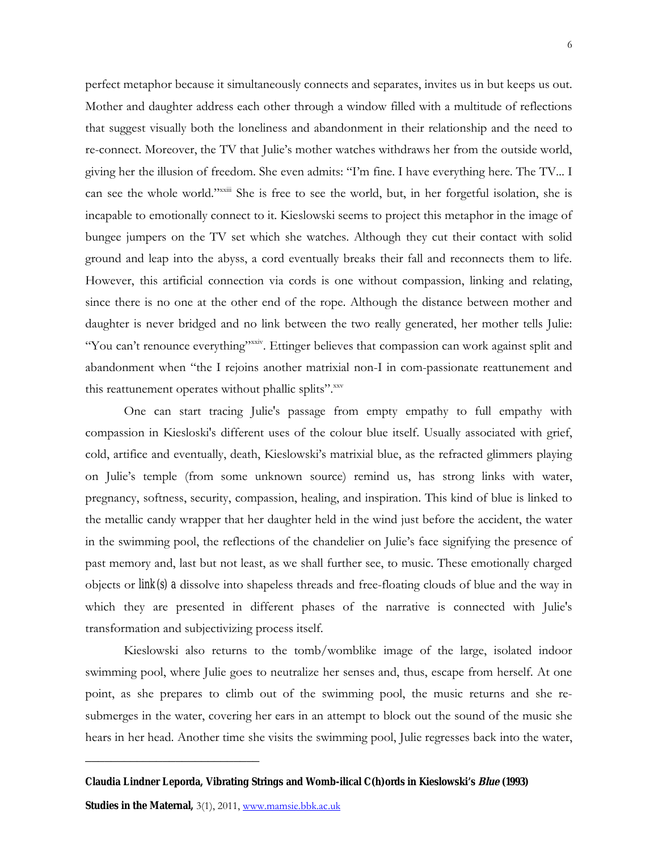perfect metaphor because it simultaneously connects and separates, invites us in but keeps us out. Mother and daughter address each other through a window filled with a multitude of reflections that suggest visually both the loneliness and abandonment in their relationship and the need to re-connect. Moreover, the TV that Julie's mother watches withdraws her from the outside world, giving her the illusion of freedom. She even admits: "I'm fine. I have everything here. The TV... I can see the whole world."<sup>xxiii</sup> She is free to see the world, but, in her forgetful isolation, she is incapable to emotionally connect to it. Kieslowski seems to project this metaphor in the image of bungee jumpers on the TV set which she watches. Although they cut their contact with solid ground and leap into the abyss, a cord eventually breaks their fall and reconnects them to life. However, this artificial connection via cords is one without compassion, linking and relating, since there is no one at the other end of the rope. Although the distance between mother and daughter is never bridged and no link between the two really generated, her mother tells Julie: "You can't renounce everything"<sup>xxiv</sup>. Ettinger believes that compassion can work against split and abandonment when "the I rejoins another matrixial non-I in com-passionate reattunement and this reattunement operates without phallic splits".xxv

One can start tracing Julie's passage from empty empathy to full empathy with compassion in Kiesloski's different uses of the colour blue itself. Usually associated with grief, cold, artifice and eventually, death, Kieslowski's matrixial blue, as the refracted glimmers playing on Julie's temple (from some unknown source) remind us, has strong links with water, pregnancy, softness, security, compassion, healing, and inspiration. This kind of blue is linked to the metallic candy wrapper that her daughter held in the wind just before the accident, the water in the swimming pool, the reflections of the chandelier on Julie's face signifying the presence of past memory and, last but not least, as we shall further see, to music. These emotionally charged objects or *link(s) a* dissolve into shapeless threads and free-floating clouds of blue and the way in which they are presented in different phases of the narrative is connected with Julie's transformation and subjectivizing process itself.

Kieslowski also returns to the tomb/womblike image of the large, isolated indoor swimming pool, where Julie goes to neutralize her senses and, thus, escape from herself. At one point, as she prepares to climb out of the swimming pool, the music returns and she resubmerges in the water, covering her ears in an attempt to block out the sound of the music she hears in her head. Another time she visits the swimming pool, Julie regresses back into the water,

**Claudia Lindner Leporda, Vibrating Strings and Womb-ilical C(h)ords in Kieslowski's Blue (1993)**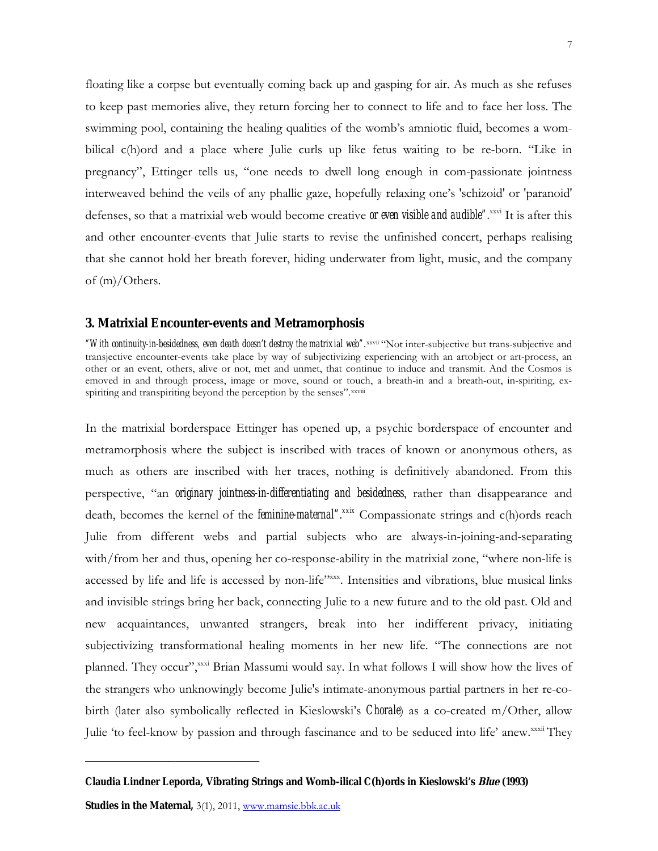floating like a corpse but eventually coming back up and gasping for air. As much as she refuses to keep past memories alive, they return forcing her to connect to life and to face her loss. The swimming pool, containing the healing qualities of the womb's amniotic fluid, becomes a wombilical c(h)ord and a place where Julie curls up like fetus waiting to be re-born. "Like in pregnancy", Ettinger tells us, "one needs to dwell long enough in com-passionate jointness interweaved behind the veils of any phallic gaze, hopefully relaxing one's 'schizoid' or 'paranoid' defenses, so that a matrixial web would become creative *or even visible and audible".*xxvi It is after this and other encounter-events that Julie starts to revise the unfinished concert, perhaps realising that she cannot hold her breath forever, hiding underwater from light, music, and the company of (m)/Others.

#### **3. Matrixial Encounter-events and Metramorphosis**

"With continuity-in-besidedness, even death doesn't destroy the matrixial web".<sup>xxvii</sup> "Not inter-subjective but trans-subjective and transjective encounter-events take place by way of subjectivizing experiencing with an artobject or art-process, an other or an event, others, alive or not, met and unmet, that continue to induce and transmit. And the Cosmos is emoved in and through process, image or move, sound or touch, a breath-in and a breath-out, in-spiriting, exspiriting and transpiriting beyond the perception by the senses". xxviii

In the matrixial borderspace Ettinger has opened up, a psychic borderspace of encounter and metramorphosis where the subject is inscribed with traces of known or anonymous others, as much as others are inscribed with her traces, nothing is definitively abandoned. From this perspective, "an *originary jointness-in-differentiating and besidedness*, rather than disappearance and death, becomes the kernel of the **feminine-maternal**".<sup>xxix</sup> Compassionate strings and c(h)ords reach Julie from different webs and partial subjects who are always-in-joining-and-separating with/from her and thus, opening her co-response-ability in the matrixial zone, "where non-life is accessed by life and life is accessed by non-life"xxx. Intensities and vibrations, blue musical links and invisible strings bring her back, connecting Julie to a new future and to the old past. Old and new acquaintances, unwanted strangers, break into her indifferent privacy, initiating subjectivizing transformational healing moments in her new life. "The connections are not planned. They occur", xxxi Brian Massumi would say. In what follows I will show how the lives of the strangers who unknowingly become Julie's intimate-anonymous partial partners in her re-cobirth (later also symbolically reflected in Kieslowski's *Chorale*) as a co-created m/Other, allow Julie 'to feel-know by passion and through fascinance and to be seduced into life' anew.<sup>xxxii</sup> They

**Claudia Lindner Leporda, Vibrating Strings and Womb-ilical C(h)ords in Kieslowski's Blue (1993)**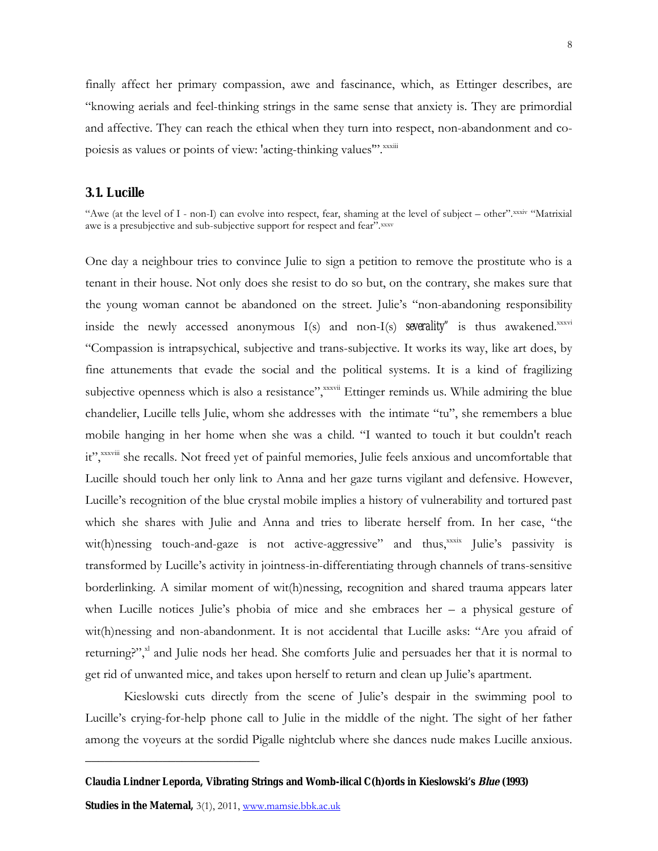finally affect her primary compassion, awe and fascinance, which, as Ettinger describes, are "knowing aerials and feel-thinking strings in the same sense that anxiety is. They are primordial and affective. They can reach the ethical when they turn into respect, non-abandonment and copoiesis as values or points of view: 'acting-thinking values'".xxxiii

#### **3.1. Lucille**

"Awe (at the level of I - non-I) can evolve into respect, fear, shaming at the level of subject – other".xxxiv "Matrixial awe is a presubjective and sub-subjective support for respect and fear".xxxv

One day a neighbour tries to convince Julie to sign a petition to remove the prostitute who is a tenant in their house. Not only does she resist to do so but, on the contrary, she makes sure that the young woman cannot be abandoned on the street. Julie's "non-abandoning responsibility inside the newly accessed anonymous  $I(s)$  and non- $I(s)$  **severality**" is thus awakened. $x_{xx}$ "Compassion is intrapsychical, subjective and trans-subjective. It works its way, like art does, by fine attunements that evade the social and the political systems. It is a kind of fragilizing subjective openness which is also a resistance", xxxvii Ettinger reminds us. While admiring the blue chandelier, Lucille tells Julie, whom she addresses with the intimate "tu", she remembers a blue mobile hanging in her home when she was a child. "I wanted to touch it but couldn't reach it", xxxviii she recalls. Not freed yet of painful memories, Julie feels anxious and uncomfortable that Lucille should touch her only link to Anna and her gaze turns vigilant and defensive. However, Lucille's recognition of the blue crystal mobile implies a history of vulnerability and tortured past which she shares with Julie and Anna and tries to liberate herself from. In her case, "the wit(h)nessing touch-and-gaze is not active-aggressive" and thus, xxxix Julie's passivity is transformed by Lucille's activity in jointness-in-differentiating through channels of trans-sensitive borderlinking. A similar moment of wit(h)nessing, recognition and shared trauma appears later when Lucille notices Julie's phobia of mice and she embraces her – a physical gesture of wit(h)nessing and non-abandonment. It is not accidental that Lucille asks: "Are you afraid of returning?",<sup>xl</sup> and Julie nods her head. She comforts Julie and persuades her that it is normal to get rid of unwanted mice, and takes upon herself to return and clean up Julie's apartment.

Kieslowski cuts directly from the scene of Julie's despair in the swimming pool to Lucille's crying-for-help phone call to Julie in the middle of the night. The sight of her father among the voyeurs at the sordid Pigalle nightclub where she dances nude makes Lucille anxious.

**Claudia Lindner Leporda, Vibrating Strings and Womb-ilical C(h)ords in Kieslowski's Blue (1993)**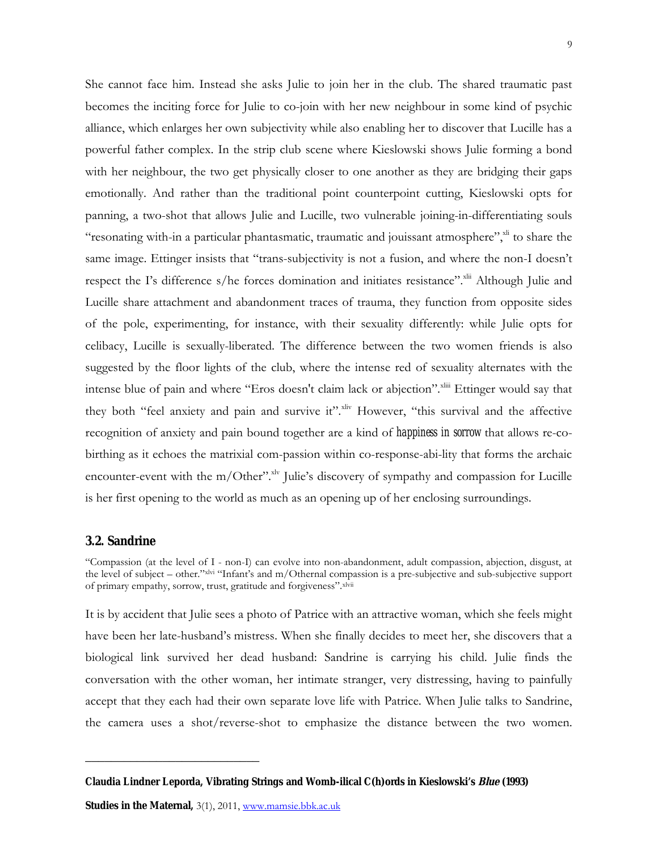She cannot face him. Instead she asks Julie to join her in the club. The shared traumatic past becomes the inciting force for Julie to co-join with her new neighbour in some kind of psychic alliance, which enlarges her own subjectivity while also enabling her to discover that Lucille has a powerful father complex. In the strip club scene where Kieslowski shows Julie forming a bond with her neighbour, the two get physically closer to one another as they are bridging their gaps emotionally. And rather than the traditional point counterpoint cutting, Kieslowski opts for panning, a two-shot that allows Julie and Lucille, two vulnerable joining-in-differentiating souls "resonating with-in a particular phantasmatic, traumatic and jouissant atmosphere", $x^{\text{hi}}$  to share the same image. Ettinger insists that "trans-subjectivity is not a fusion, and where the non-I doesn't respect the I's difference s/he forces domination and initiates resistance". XIII Although Julie and Lucille share attachment and abandonment traces of trauma, they function from opposite sides of the pole, experimenting, for instance, with their sexuality differently: while Julie opts for celibacy, Lucille is sexually-liberated. The difference between the two women friends is also suggested by the floor lights of the club, where the intense red of sexuality alternates with the intense blue of pain and where "Eros doesn't claim lack or abjection".<sup>xliii</sup> Ettinger would say that they both "feel anxiety and pain and survive it". Xliv However, "this survival and the affective recognition of anxiety and pain bound together are a kind of *happiness in sorrow* that allows re-cobirthing as it echoes the matrixial com-passion within co-response-abi-lity that forms the archaic

encounter-event with the m/Other".<sup>xlv</sup> Julie's discovery of sympathy and compassion for Lucille is her first opening to the world as much as an opening up of her enclosing surroundings.

# **3.2. Sandrine**

"Compassion (at the level of I - non-I) can evolve into non-abandonment, adult compassion, abjection, disgust, at the level of subject – other."xlvi "Infant's and m/Othernal compassion is a pre-subjective and sub-subjective support of primary empathy, sorrow, trust, gratitude and forgiveness". xlvii

It is by accident that Julie sees a photo of Patrice with an attractive woman, which she feels might have been her late-husband's mistress. When she finally decides to meet her, she discovers that a biological link survived her dead husband: Sandrine is carrying his child. Julie finds the conversation with the other woman, her intimate stranger, very distressing, having to painfully accept that they each had their own separate love life with Patrice. When Julie talks to Sandrine, the camera uses a shot/reverse-shot to emphasize the distance between the two women.

**Claudia Lindner Leporda, Vibrating Strings and Womb-ilical C(h)ords in Kieslowski's Blue (1993)**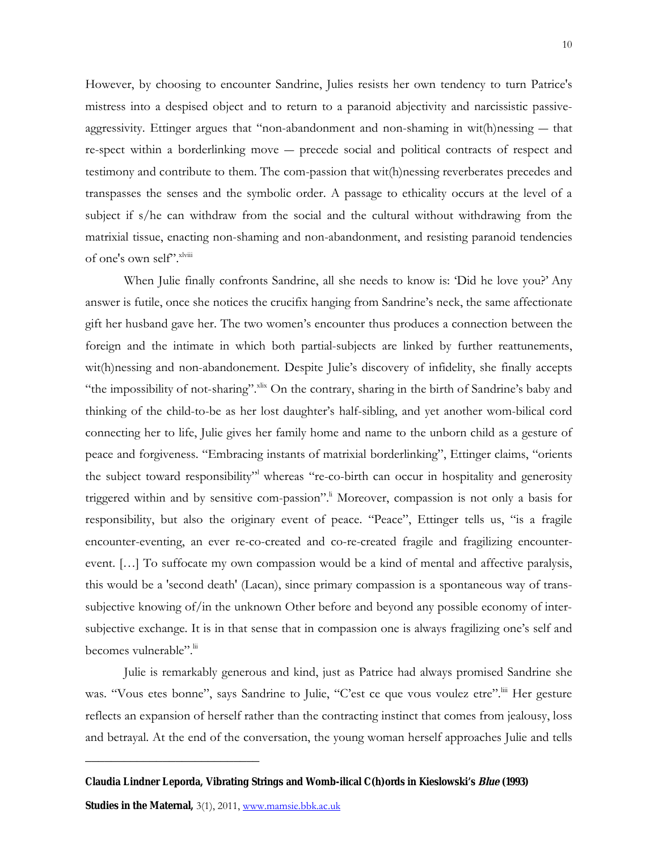However, by choosing to encounter Sandrine, Julies resists her own tendency to turn Patrice's mistress into a despised object and to return to a paranoid abjectivity and narcissistic passiveaggressivity. Ettinger argues that "non-abandonment and non-shaming in wit(h)nessing ― that re-spect within a borderlinking move ― precede social and political contracts of respect and testimony and contribute to them. The com-passion that wit(h)nessing reverberates precedes and transpasses the senses and the symbolic order. A passage to ethicality occurs at the level of a subject if s/he can withdraw from the social and the cultural without withdrawing from the matrixial tissue, enacting non-shaming and non-abandonment, and resisting paranoid tendencies of one's own self".<sup>xlviii</sup>

When Julie finally confronts Sandrine, all she needs to know is: 'Did he love you?' Any answer is futile, once she notices the crucifix hanging from Sandrine's neck, the same affectionate gift her husband gave her. The two women's encounter thus produces a connection between the foreign and the intimate in which both partial-subjects are linked by further reattunements, wit(h)nessing and non-abandonement. Despite Julie's discovery of infidelity, she finally accepts "the impossibility of not-sharing".<sup>xlix</sup> On the contrary, sharing in the birth of Sandrine's baby and thinking of the child-to-be as her lost daughter's half-sibling, and yet another wom-bilical cord connecting her to life, Julie gives her family home and name to the unborn child as a gesture of peace and forgiveness. "Embracing instants of matrixial borderlinking", Ettinger claims, "orients the subject toward responsibility<sup>"</sup> whereas "re-co-birth can occur in hospitality and generosity triggered within and by sensitive com-passion".<sup>I</sup> Moreover, compassion is not only a basis for responsibility, but also the originary event of peace. "Peace", Ettinger tells us, "is a fragile encounter-eventing, an ever re-co-created and co-re-created fragile and fragilizing encounterevent. […] To suffocate my own compassion would be a kind of mental and affective paralysis, this would be a 'second death' (Lacan), since primary compassion is a spontaneous way of transsubjective knowing of/in the unknown Other before and beyond any possible economy of intersubjective exchange. It is in that sense that in compassion one is always fragilizing one's self and becomes vulnerable". Iii

Julie is remarkably generous and kind, just as Patrice had always promised Sandrine she was. "Vous etes bonne", says Sandrine to Julie, "C'est ce que vous voulez etre".<sup>liif</sup> Her gesture reflects an expansion of herself rather than the contracting instinct that comes from jealousy, loss and betrayal. At the end of the conversation, the young woman herself approaches Julie and tells

**Claudia Lindner Leporda, Vibrating Strings and Womb-ilical C(h)ords in Kieslowski's Blue (1993)**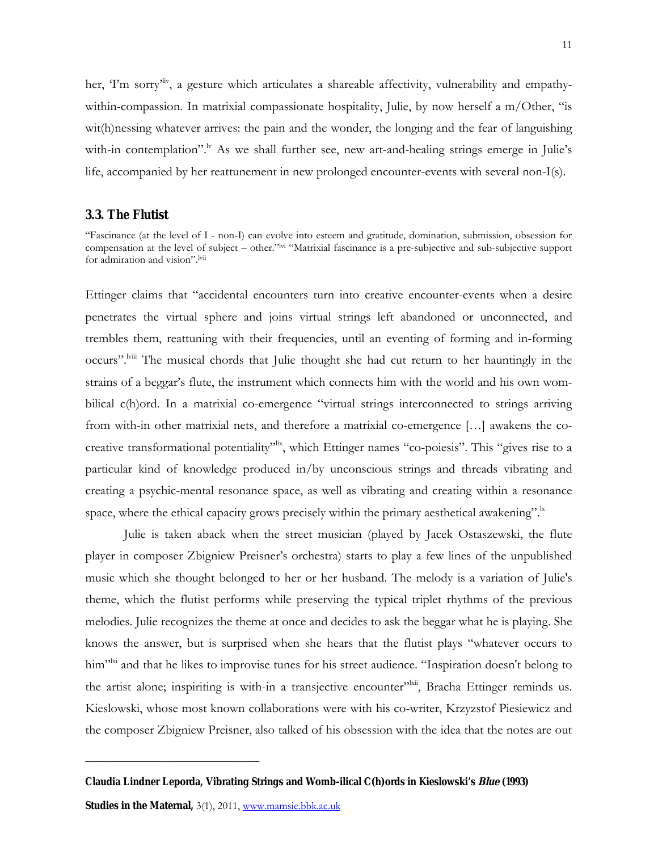her, 'I'm sorry'<sup>liv</sup>, a gesture which articulates a shareable affectivity, vulnerability and empathywithin-compassion. In matrixial compassionate hospitality, Julie, by now herself a m/Other, "is wit(h)nessing whatever arrives: the pain and the wonder, the longing and the fear of languishing with-in contemplation".<sup>Iv</sup> As we shall further see, new art-and-healing strings emerge in Julie's life, accompanied by her reattunement in new prolonged encounter-events with several non-I(s).

#### **3.3. The Flutist**

"Fascinance (at the level of I - non-I) can evolve into esteem and gratitude, domination, submission, obsession for compensation at the level of subject – other."<sup>lvi</sup> "Matrixial fascinance is a pre-subjective and sub-subjective support for admiration and vision".<sup>lvii</sup>

Ettinger claims that "accidental encounters turn into creative encounter-events when a desire penetrates the virtual sphere and joins virtual strings left abandoned or unconnected, and trembles them, reattuning with their frequencies, until an eventing of forming and in-forming occurs".<sup>lviii</sup> The musical chords that Julie thought she had cut return to her hauntingly in the strains of a beggar's flute, the instrument which connects him with the world and his own wombilical c(h)ord. In a matrixial co-emergence "virtual strings interconnected to strings arriving from with-in other matrixial nets, and therefore a matrixial co-emergence […] awakens the cocreative transformational potentiality<sup>"lix</sup>, which Ettinger names "co-poiesis". This "gives rise to a particular kind of knowledge produced in/by unconscious strings and threads vibrating and creating a psychic-mental resonance space, as well as vibrating and creating within a resonance space, where the ethical capacity grows precisely within the primary aesthetical awakening".

Julie is taken aback when the street musician (played by Jacek Ostaszewski, the flute player in composer Zbigniew Preisner's orchestra) starts to play a few lines of the unpublished music which she thought belonged to her or her husband. The melody is a variation of Julie's theme, which the flutist performs while preserving the typical triplet rhythms of the previous melodies. Julie recognizes the theme at once and decides to ask the beggar what he is playing. She knows the answer, but is surprised when she hears that the flutist plays "whatever occurs to him"<sup>lxi</sup> and that he likes to improvise tunes for his street audience. "Inspiration doesn't belong to the artist alone; inspiriting is with-in a transjective encounter"<sup>lxii</sup>, Bracha Ettinger reminds us. Kieslowski, whose most known collaborations were with his co-writer, Krzyzstof Piesiewicz and the composer Zbigniew Preisner, also talked of his obsession with the idea that the notes are out

**Claudia Lindner Leporda, Vibrating Strings and Womb-ilical C(h)ords in Kieslowski's Blue (1993)**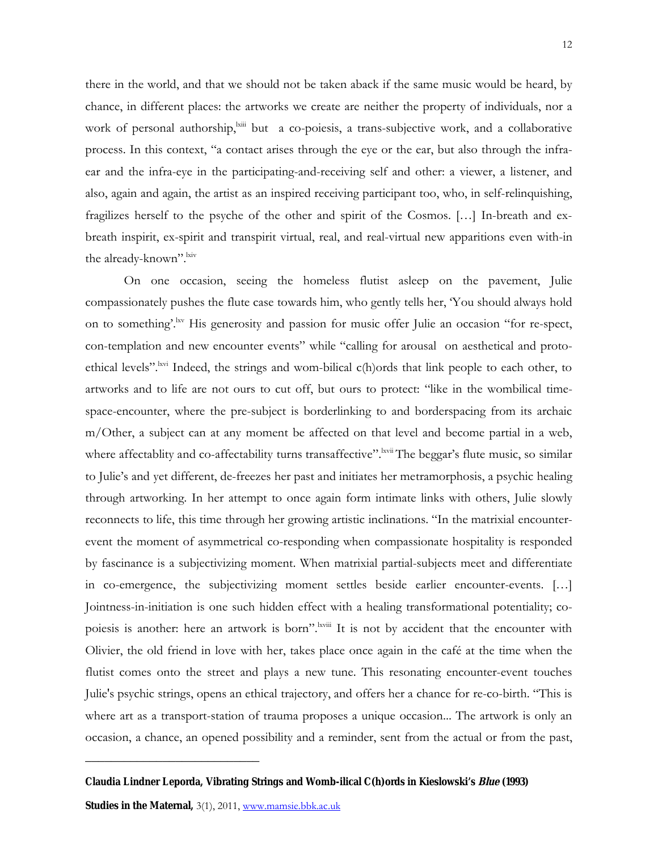there in the world, and that we should not be taken aback if the same music would be heard, by chance, in different places: the artworks we create are neither the property of individuals, nor a work of personal authorship, $\lim_{n \to \infty}$  but a co-poiesis, a trans-subjective work, and a collaborative process. In this context, "a contact arises through the eye or the ear, but also through the infraear and the infra-eye in the participating-and-receiving self and other: a viewer, a listener, and also, again and again, the artist as an inspired receiving participant too, who, in self-relinquishing, fragilizes herself to the psyche of the other and spirit of the Cosmos. […] In-breath and exbreath inspirit, ex-spirit and transpirit virtual, real, and real-virtual new apparitions even with-in the already-known". Ixiv

On one occasion, seeing the homeless flutist asleep on the pavement, Julie compassionately pushes the flute case towards him, who gently tells her, 'You should always hold on to something'.<sup>lxv</sup> His generosity and passion for music offer Julie an occasion "for re-spect, con-templation and new encounter events" while "calling for arousal on aesthetical and protoethical levels".<sup>lxvi</sup> Indeed, the strings and wom-bilical c(h)ords that link people to each other, to artworks and to life are not ours to cut off, but ours to protect: "like in the wombilical timespace-encounter, where the pre-subject is borderlinking to and borderspacing from its archaic m/Other, a subject can at any moment be affected on that level and become partial in a web, where affectablity and co-affectability turns transaffective".<sup>lxvii</sup> The beggar's flute music, so similar to Julie's and yet different, de-freezes her past and initiates her metramorphosis, a psychic healing through artworking. In her attempt to once again form intimate links with others, Julie slowly reconnects to life, this time through her growing artistic inclinations. "In the matrixial encounterevent the moment of asymmetrical co-responding when compassionate hospitality is responded by fascinance is a subjectivizing moment. When matrixial partial-subjects meet and differentiate in co-emergence, the subjectivizing moment settles beside earlier encounter-events. […] Jointness-in-initiation is one such hidden effect with a healing transformational potentiality; copoiesis is another: here an artwork is born".<sup>lxviii</sup> It is not by accident that the encounter with Olivier, the old friend in love with her, takes place once again in the café at the time when the flutist comes onto the street and plays a new tune. This resonating encounter-event touches Julie's psychic strings, opens an ethical trajectory, and offers her a chance for re-co-birth. "This is where art as a transport-station of trauma proposes a unique occasion... The artwork is only an occasion, a chance, an opened possibility and a reminder, sent from the actual or from the past,

**Claudia Lindner Leporda, Vibrating Strings and Womb-ilical C(h)ords in Kieslowski's Blue (1993)**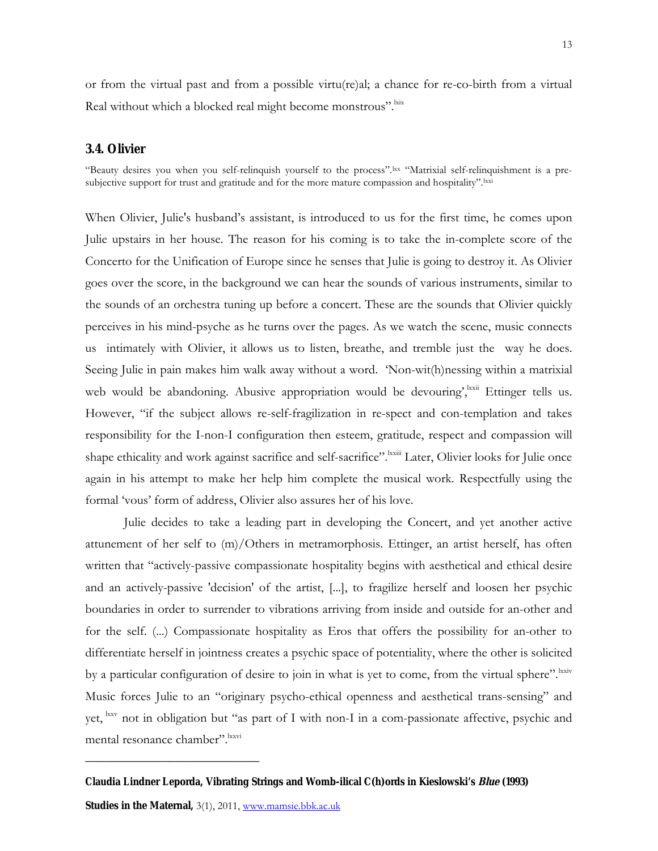or from the virtual past and from a possible virtu(re)al; a chance for re-co-birth from a virtual Real without which a blocked real might become monstrous".<sup>lxix</sup>

## **3.4. Olivier**

"Beauty desires you when you self-relinquish yourself to the process".lxx "Matrixial self-relinquishment is a presubjective support for trust and gratitude and for the more mature compassion and hospitality".<sup>lxxi</sup>

When Olivier, Julie's husband's assistant, is introduced to us for the first time, he comes upon Julie upstairs in her house. The reason for his coming is to take the in-complete score of the Concerto for the Unification of Europe since he senses that Julie is going to destroy it. As Olivier goes over the score, in the background we can hear the sounds of various instruments, similar to the sounds of an orchestra tuning up before a concert. These are the sounds that Olivier quickly perceives in his mind-psyche as he turns over the pages. As we watch the scene, music connects us intimately with Olivier, it allows us to listen, breathe, and tremble just the way he does. Seeing Julie in pain makes him walk away without a word. 'Non-wit(h)nessing within a matrixial web would be abandoning. Abusive appropriation would be devouring', kxii Ettinger tells us. However, "if the subject allows re-self-fragilization in re-spect and con-templation and takes responsibility for the I-non-I configuration then esteem, gratitude, respect and compassion will shape ethicality and work against sacrifice and self-sacrifice". Ixxiii Later, Olivier looks for Julie once again in his attempt to make her help him complete the musical work. Respectfully using the formal 'vous' form of address, Olivier also assures her of his love.

Julie decides to take a leading part in developing the Concert, and yet another active attunement of her self to (m)/Others in metramorphosis. Ettinger, an artist herself, has often written that "actively-passive compassionate hospitality begins with aesthetical and ethical desire and an actively-passive 'decision' of the artist, [...], to fragilize herself and loosen her psychic boundaries in order to surrender to vibrations arriving from inside and outside for an-other and for the self. (...) Compassionate hospitality as Eros that offers the possibility for an-other to differentiate herself in jointness creates a psychic space of potentiality, where the other is solicited by a particular configuration of desire to join in what is yet to come, from the virtual sphere". Ixxiv Music forces Julie to an "originary psycho-ethical openness and aesthetical trans-sensing" and yet, lxxv not in obligation but "as part of I with non-I in a com-passionate affective, psychic and mental resonance chamber". Ixxvi

**Claudia Lindner Leporda, Vibrating Strings and Womb-ilical C(h)ords in Kieslowski's Blue (1993)**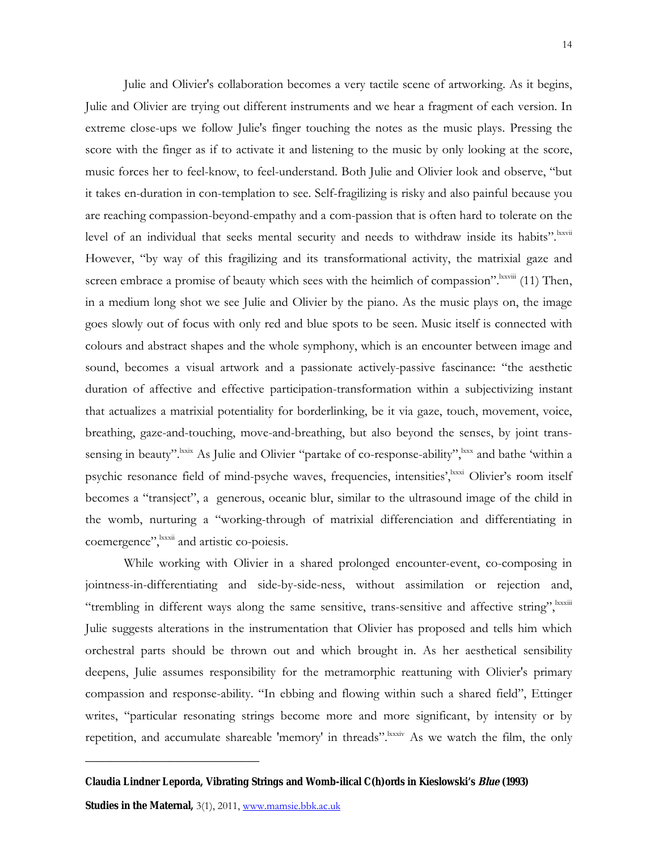Julie and Olivier's collaboration becomes a very tactile scene of artworking. As it begins, Julie and Olivier are trying out different instruments and we hear a fragment of each version. In extreme close-ups we follow Julie's finger touching the notes as the music plays. Pressing the score with the finger as if to activate it and listening to the music by only looking at the score, music forces her to feel-know, to feel-understand. Both Julie and Olivier look and observe, "but it takes en-duration in con-templation to see. Self-fragilizing is risky and also painful because you are reaching compassion-beyond-empathy and a com-passion that is often hard to tolerate on the level of an individual that seeks mental security and needs to withdraw inside its habits". Kxvii However, "by way of this fragilizing and its transformational activity, the matrixial gaze and screen embrace a promise of beauty which sees with the heimlich of compassion". Ixxviii (11) Then, in a medium long shot we see Julie and Olivier by the piano. As the music plays on, the image goes slowly out of focus with only red and blue spots to be seen. Music itself is connected with colours and abstract shapes and the whole symphony, which is an encounter between image and sound, becomes a visual artwork and a passionate actively-passive fascinance: "the aesthetic duration of affective and effective participation-transformation within a subjectivizing instant that actualizes a matrixial potentiality for borderlinking, be it via gaze, touch, movement, voice, breathing, gaze-and-touching, move-and-breathing, but also beyond the senses, by joint transsensing in beauty".<sup>lxxx</sup> As Julie and Olivier "partake of co-response-ability", <sup>lxxx</sup> and bathe 'within a psychic resonance field of mind-psyche waves, frequencies, intensities', kxxxi Olivier's room itself becomes a "transject", a generous, oceanic blur, similar to the ultrasound image of the child in the womb, nurturing a "working-through of matrixial differenciation and differentiating in coemergence",  $\frac{1}{x}$  and artistic co-poiesis.

While working with Olivier in a shared prolonged encounter-event, co-composing in jointness-in-differentiating and side-by-side-ness, without assimilation or rejection and, "trembling in different ways along the same sensitive, trans-sensitive and affective string", Ixxxiii Julie suggests alterations in the instrumentation that Olivier has proposed and tells him which orchestral parts should be thrown out and which brought in. As her aesthetical sensibility deepens, Julie assumes responsibility for the metramorphic reattuning with Olivier's primary compassion and response-ability. "In ebbing and flowing within such a shared field", Ettinger writes, "particular resonating strings become more and more significant, by intensity or by repetition, and accumulate shareable 'memory' in threads". Know watch the film, the only

**Claudia Lindner Leporda, Vibrating Strings and Womb-ilical C(h)ords in Kieslowski's Blue (1993)**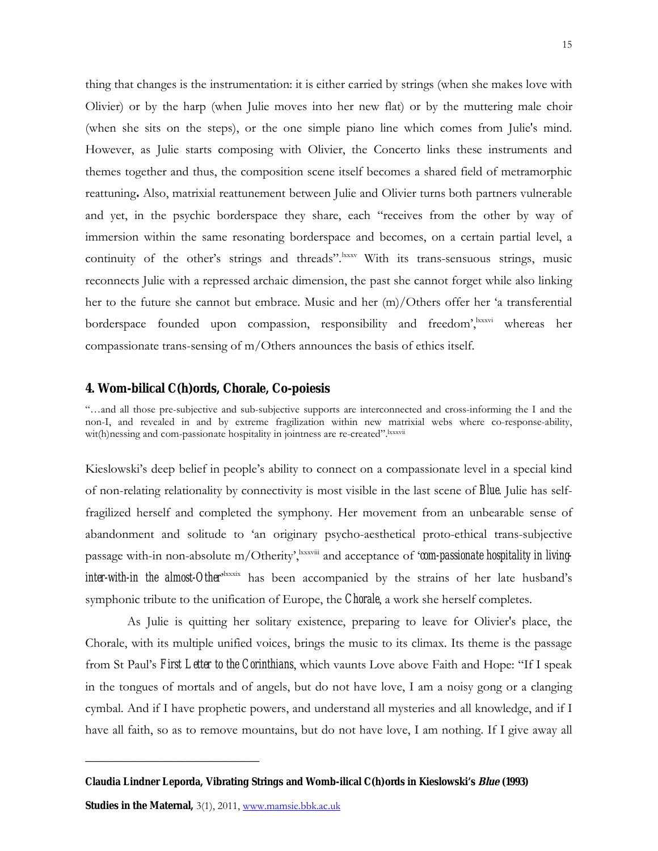thing that changes is the instrumentation: it is either carried by strings (when she makes love with Olivier) or by the harp (when Julie moves into her new flat) or by the muttering male choir (when she sits on the steps), or the one simple piano line which comes from Julie's mind. However, as Julie starts composing with Olivier, the Concerto links these instruments and themes together and thus, the composition scene itself becomes a shared field of metramorphic reattuning**.** Also, matrixial reattunement between Julie and Olivier turns both partners vulnerable and yet, in the psychic borderspace they share, each "receives from the other by way of immersion within the same resonating borderspace and becomes, on a certain partial level, a continuity of the other's strings and threads".<sup>lxxxv</sup> With its trans-sensuous strings, music reconnects Julie with a repressed archaic dimension, the past she cannot forget while also linking her to the future she cannot but embrace. Music and her (m)/Others offer her 'a transferential borderspace founded upon compassion, responsibility and freedom', kxxvi whereas her compassionate trans-sensing of m/Others announces the basis of ethics itself.

#### **4. Wom-bilical C(h)ords, Chorale, Co-poiesis**

"…and all those pre-subjective and sub-subjective supports are interconnected and cross-informing the I and the non-I, and revealed in and by extreme fragilization within new matrixial webs where co-response-ability, wit(h)nessing and com-passionate hospitality in jointness are re-created".<sup>lxxxvii</sup>

Kieslowski's deep belief in people's ability to connect on a compassionate level in a special kind of non-relating relationality by connectivity is most visible in the last scene of *Blue*. Julie has selffragilized herself and completed the symphony. Her movement from an unbearable sense of abandonment and solitude to 'an originary psycho-aesthetical proto-ethical trans-subjective passage with-in non-absolute m/Otherity<sup>, Ixxxviii</sup> and acceptance of '**com-passionate hospitality in living**inter-with-in the almost-Other<sup>, hxxxix</sup> has been accompanied by the strains of her late husband's symphonic tribute to the unification of Europe, the *Chorale*, a work she herself completes.

As Julie is quitting her solitary existence, preparing to leave for Olivier's place, the Chorale, with its multiple unified voices, brings the music to its climax. Its theme is the passage from St Paul's *First Letter to the Corinthians*, which vaunts Love above Faith and Hope: "If I speak in the tongues of mortals and of angels, but do not have love, I am a noisy gong or a clanging cymbal. And if I have prophetic powers, and understand all mysteries and all knowledge, and if I have all faith, so as to remove mountains, but do not have love, I am nothing. If I give away all

**Claudia Lindner Leporda, Vibrating Strings and Womb-ilical C(h)ords in Kieslowski's Blue (1993)**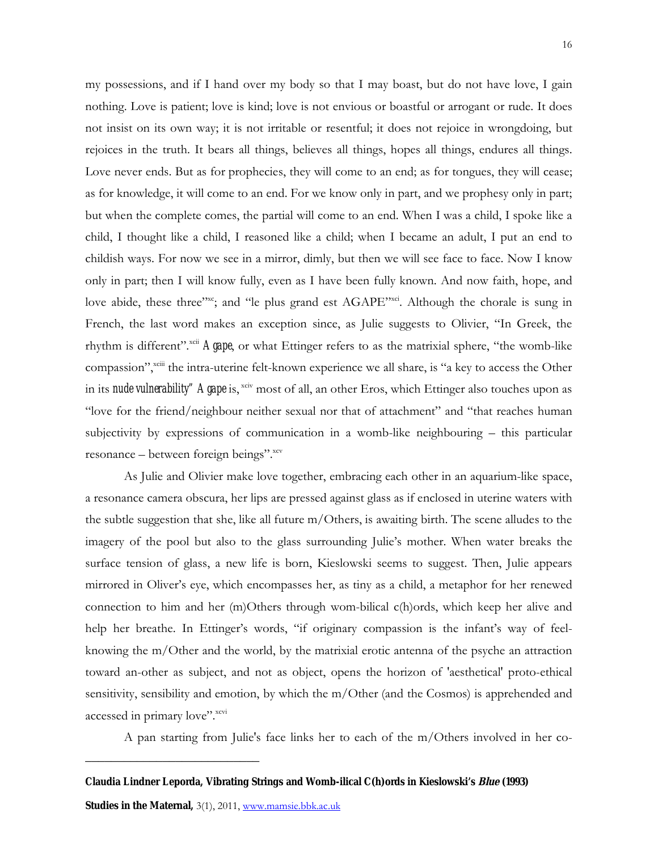my possessions, and if I hand over my body so that I may boast, but do not have love, I gain nothing. Love is patient; love is kind; love is not envious or boastful or arrogant or rude. It does not insist on its own way; it is not irritable or resentful; it does not rejoice in wrongdoing, but rejoices in the truth. It bears all things, believes all things, hopes all things, endures all things. Love never ends. But as for prophecies, they will come to an end; as for tongues, they will cease; as for knowledge, it will come to an end. For we know only in part, and we prophesy only in part; but when the complete comes, the partial will come to an end. When I was a child, I spoke like a child, I thought like a child, I reasoned like a child; when I became an adult, I put an end to childish ways. For now we see in a mirror, dimly, but then we will see face to face. Now I know only in part; then I will know fully, even as I have been fully known. And now faith, hope, and love abide, these three"<sup>xc</sup>; and "le plus grand est AGAPE"<sup>xci</sup>. Although the chorale is sung in French, the last word makes an exception since, as Julie suggests to Olivier, "In Greek, the rhythm is different".<sup>xcii</sup> **Agape**, or what Ettinger refers to as the matrixial sphere, "the womb-like compassion",<sup>xciii</sup> the intra-uterine felt-known experience we all share, is "a key to access the Other in its **nude vulnerability**" Agape is, xciv most of all, an other Eros, which Ettinger also touches upon as "love for the friend/neighbour neither sexual nor that of attachment" and "that reaches human subjectivity by expressions of communication in a womb-like neighbouring – this particular resonance – between foreign beings".<sup>xcv</sup>

As Julie and Olivier make love together, embracing each other in an aquarium-like space, a resonance camera obscura, her lips are pressed against glass as if enclosed in uterine waters with the subtle suggestion that she, like all future m/Others, is awaiting birth. The scene alludes to the imagery of the pool but also to the glass surrounding Julie's mother. When water breaks the surface tension of glass, a new life is born, Kieslowski seems to suggest. Then, Julie appears mirrored in Oliver's eye, which encompasses her, as tiny as a child, a metaphor for her renewed connection to him and her (m)Others through wom-bilical c(h)ords, which keep her alive and help her breathe. In Ettinger's words, "if originary compassion is the infant's way of feelknowing the m/Other and the world, by the matrixial erotic antenna of the psyche an attraction toward an-other as subject, and not as object, opens the horizon of 'aesthetical' proto-ethical sensitivity, sensibility and emotion, by which the m/Other (and the Cosmos) is apprehended and accessed in primary love". xcvi

A pan starting from Julie's face links her to each of the m/Others involved in her co-

**Claudia Lindner Leporda, Vibrating Strings and Womb-ilical C(h)ords in Kieslowski's Blue (1993)**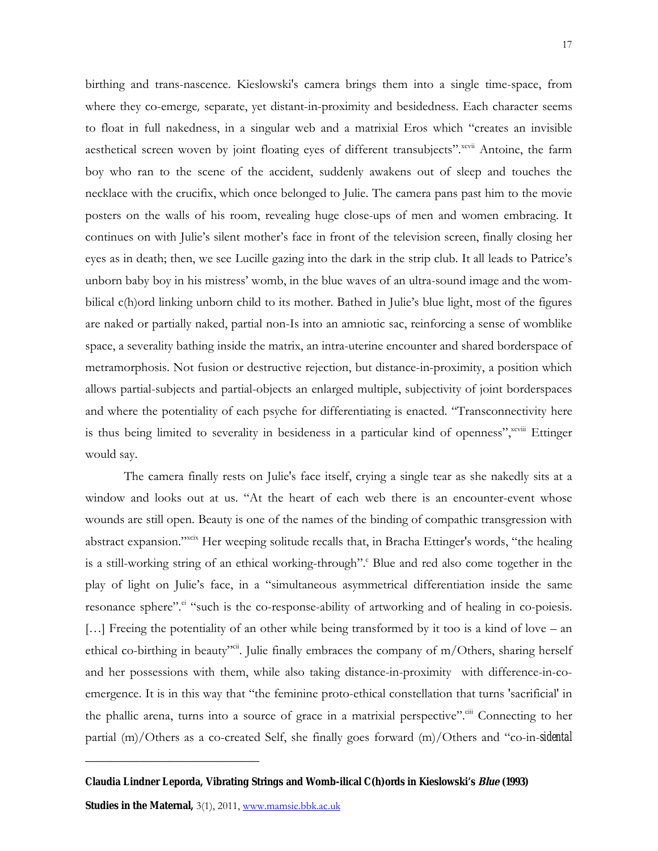birthing and trans-nascence. Kieslowski's camera brings them into a single time-space, from where they co-emerge*,* separate, yet distant-in-proximity and besidedness. Each character seems to float in full nakedness, in a singular web and a matrixial Eros which "creates an invisible aesthetical screen woven by joint floating eyes of different transubjects".<sup>xcvii</sup> Antoine, the farm boy who ran to the scene of the accident, suddenly awakens out of sleep and touches the necklace with the crucifix, which once belonged to Julie. The camera pans past him to the movie posters on the walls of his room, revealing huge close-ups of men and women embracing. It continues on with Julie's silent mother's face in front of the television screen, finally closing her eyes as in death; then, we see Lucille gazing into the dark in the strip club. It all leads to Patrice's unborn baby boy in his mistress' womb, in the blue waves of an ultra-sound image and the wombilical c(h)ord linking unborn child to its mother. Bathed in Julie's blue light, most of the figures are naked or partially naked, partial non-Is into an amniotic sac, reinforcing a sense of womblike space, a severality bathing inside the matrix, an intra-uterine encounter and shared borderspace of metramorphosis. Not fusion or destructive rejection, but distance-in-proximity, a position which allows partial-subjects and partial-objects an enlarged multiple, subjectivity of joint borderspaces and where the potentiality of each psyche for differentiating is enacted. "Transconnectivity here is thus being limited to severality in besideness in a particular kind of openness", xcviii Ettinger would say.

The camera finally rests on Julie's face itself, crying a single tear as she nakedly sits at a window and looks out at us. "At the heart of each web there is an encounter-event whose wounds are still open. Beauty is one of the names of the binding of compathic transgression with abstract expansion."<sup>xcix</sup> Her weeping solitude recalls that, in Bracha Ettinger's words, "the healing is a still-working string of an ethical working-through". Blue and red also come together in the play of light on Julie's face, in a "simultaneous asymmetrical differentiation inside the same resonance sphere".<sup>ci</sup> "such is the co-response-ability of artworking and of healing in co-poiesis. […] Freeing the potentiality of an other while being transformed by it too is a kind of love – an ethical co-birthing in beauty<sup>ycii</sup>. Julie finally embraces the company of m/Others, sharing herself and her possessions with them, while also taking distance-in-proximity with difference-in-coemergence. It is in this way that "the feminine proto-ethical constellation that turns 'sacrificial' in the phallic arena, turns into a source of grace in a matrixial perspective". Connecting to her partial (m)/Others as a co-created Self, she finally goes forward (m)/Others and "co-in-*sidental* 

**Claudia Lindner Leporda, Vibrating Strings and Womb-ilical C(h)ords in Kieslowski's Blue (1993)**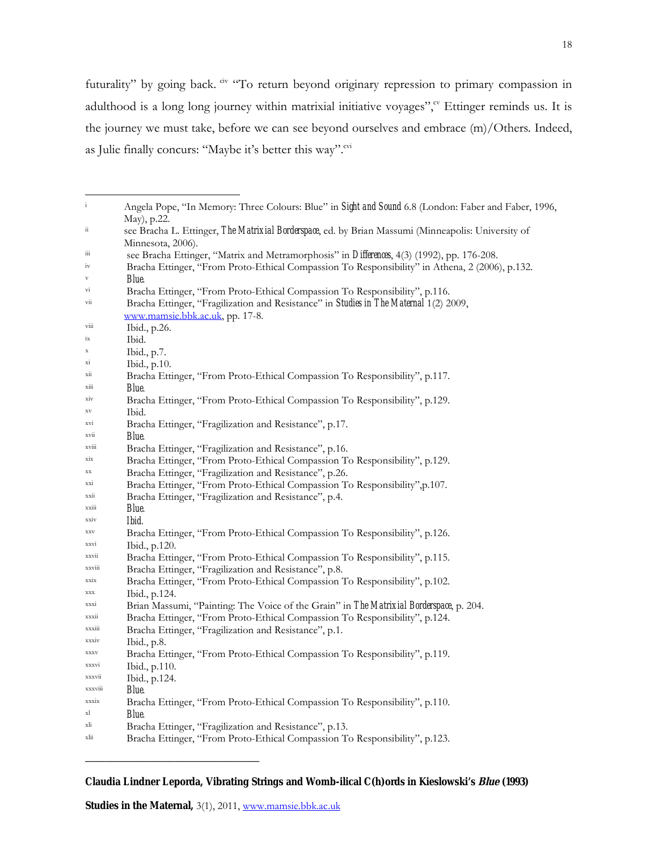futurality" by going back. <sup>civ</sup> "To return beyond originary repression to primary compassion in adulthood is a long long journey within matrixial initiative voyages"," Ettinger reminds us. It is the journey we must take, before we can see beyond ourselves and embrace (m)/Others. Indeed, as Julie finally concurs: "Maybe it's better this way".<sup>cvi</sup>

| $\mathbf{i}$                  | Angela Pope, "In Memory: Three Colours: Blue" in Sight and Sound 6.8 (London: Faber and Faber, 1996,<br>May), p.22.              |
|-------------------------------|----------------------------------------------------------------------------------------------------------------------------------|
| $\ddot{\rm n}$                | see Bracha L. Ettinger, The Matrixial Borderspace, ed. by Brian Massumi (Minneapolis: University of                              |
| $\overline{\mathbf{m}}$       | Minnesota, 2006).                                                                                                                |
|                               | see Bracha Ettinger, "Matrix and Metramorphosis" in Differences, 4(3) (1992), pp. 176-208.                                       |
| 1V<br>$\overline{\mathbf{V}}$ | Bracha Ettinger, "From Proto-Ethical Compassion To Responsibility" in Athena, 2 (2006), p.132.<br>Blue.                          |
| $\overline{\mathbf{v}}$       | Bracha Ettinger, "From Proto-Ethical Compassion To Responsibility", p.116.                                                       |
| Vii                           | Bracha Ettinger, "Fragilization and Resistance" in Studies in The Maternal 1(2) 2009,<br><u>www.mamsie.bbk.ac.uk</u> , pp. 17-8. |
| V111                          | Ibid., p.26.                                                                                                                     |
| ix                            | Ibid.                                                                                                                            |
| X                             | Ibid., p.7.                                                                                                                      |
| X1                            | $1$ bid., p. $10$ .                                                                                                              |
| X11                           | Bracha Ettinger, "From Proto-Ethical Compassion To Responsibility", p.117.                                                       |
| X111                          | Blue.                                                                                                                            |
| X1V                           | Bracha Ettinger, "From Proto-Ethical Compassion To Responsibility", p.129.                                                       |
| $_{\rm XV}$                   | Ibid.                                                                                                                            |
| XV1                           | Bracha Ettinger, "Fragilization and Resistance", p.17.                                                                           |
| XVII                          | Blue.                                                                                                                            |
| <b>XV111</b>                  | Bracha Ettinger, "Fragilization and Resistance", p.16.                                                                           |
| $_{\rm X1X}$                  | Bracha Ettinger, "From Proto-Ethical Compassion To Responsibility", p.129.                                                       |
| $_{\rm XX}$                   | Bracha Ettinger, "Fragilization and Resistance", p.26.                                                                           |
| XX1                           | Bracha Ettinger, "From Proto-Ethical Compassion To Responsibility", p.107.                                                       |
| XX11                          | Bracha Ettinger, "Fragilization and Resistance", p.4.                                                                            |
| XX111                         | <b>Blue.</b>                                                                                                                     |
| XX1V                          | Ibid.                                                                                                                            |
| XXV                           | Bracha Ettinger, "From Proto-Ethical Compassion To Responsibility", p.126.                                                       |
| XXV1                          | Ibid., p.120.                                                                                                                    |
| XXV11                         | Bracha Ettinger, "From Proto-Ethical Compassion To Responsibility", p.115.                                                       |
| <b>XXV111</b>                 | Bracha Ettinger, "Fragilization and Resistance", p.8.                                                                            |
| $\mathbf{XX1X}$               | Bracha Ettinger, "From Proto-Ethical Compassion To Responsibility", p.102.                                                       |
| XXX                           | Ibid., p.124.                                                                                                                    |
| XXX1                          | Brian Massumi, "Painting: The Voice of the Grain" in The Matrixial Borderspace, p. 204.                                          |
| XXXII                         | Bracha Ettinger, "From Proto-Ethical Compassion To Responsibility", p.124.                                                       |
| <b>XXX111</b>                 | Bracha Ettinger, "Fragilization and Resistance", p.1.                                                                            |
| <b>XXXIV</b>                  | Ibid., p.8.                                                                                                                      |
| XXXV                          | Bracha Ettinger, "From Proto-Ethical Compassion To Responsibility", p.119.                                                       |
| XXXV1                         | Ibid., p.110.                                                                                                                    |
| XXXV11                        | Ibid., p.124.                                                                                                                    |
| XXXV111                       | Blue.                                                                                                                            |
| XXX1X                         | Bracha Ettinger, "From Proto-Ethical Compassion To Responsibility", p.110.                                                       |
| xl                            | Blue.                                                                                                                            |
| xli                           | Bracha Ettinger, "Fragilization and Resistance", p.13.                                                                           |
| xlii                          | Bracha Ettinger, "From Proto-Ethical Compassion To Responsibility", p.123.                                                       |
|                               |                                                                                                                                  |

**Claudia Lindner Leporda, Vibrating Strings and Womb-ilical C(h)ords in Kieslowski's Blue (1993)**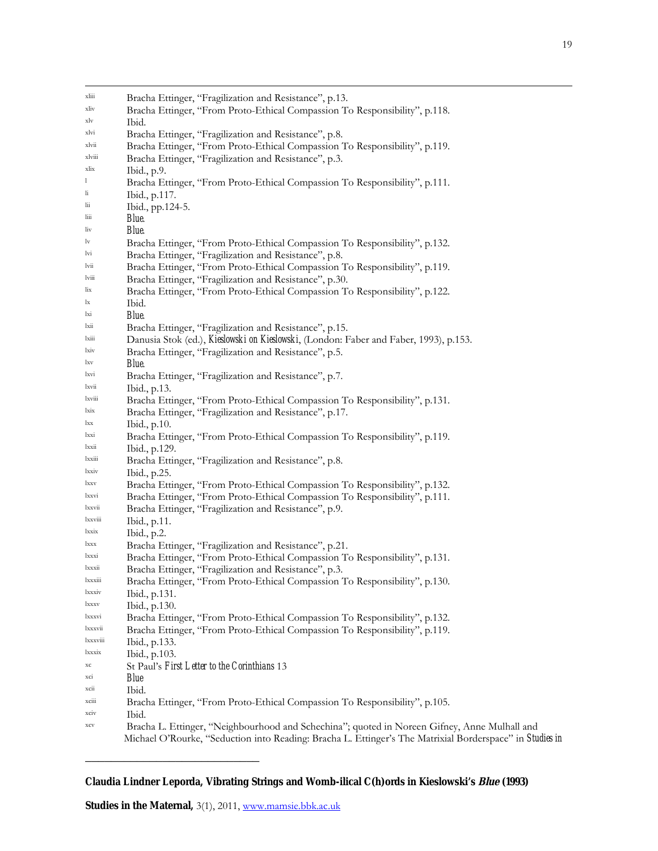| xliii          | Bracha Ettinger, "Fragilization and Resistance", p.13.                                                   |
|----------------|----------------------------------------------------------------------------------------------------------|
| xliv           | Bracha Ettinger, "From Proto-Ethical Compassion To Responsibility", p.118.                               |
| xlv            | Ibid.                                                                                                    |
| xlvi           | Bracha Ettinger, "Fragilization and Resistance", p.8.                                                    |
| xlvii          | Bracha Ettinger, "From Proto-Ethical Compassion To Responsibility", p.119.                               |
| xlviii         | Bracha Ettinger, "Fragilization and Resistance", p.3.                                                    |
| xlix           | Ibid., p.9.                                                                                              |
| 1              | Bracha Ettinger, "From Proto-Ethical Compassion To Responsibility", p.111.                               |
| li             | Ibid., p.117.                                                                                            |
| lii            | Ibid., pp.124-5.                                                                                         |
| $\lim$         | <b>Blue</b>                                                                                              |
| liv            | Blue.                                                                                                    |
| lv             | Bracha Ettinger, "From Proto-Ethical Compassion To Responsibility", p.132.                               |
| lvi            | Bracha Ettinger, "Fragilization and Resistance", p.8.                                                    |
| lvii           | Bracha Ettinger, "From Proto-Ethical Compassion To Responsibility", p.119.                               |
| $1$ viii       | Bracha Ettinger, "Fragilization and Resistance", p.30.                                                   |
| lix            | Bracha Ettinger, "From Proto-Ethical Compassion To Responsibility", p.122.                               |
| lx             | Ibid.                                                                                                    |
| lxi            | <b>Blue.</b>                                                                                             |
| lxii           | Bracha Ettinger, "Fragilization and Resistance", p.15.                                                   |
| $l$ xiii       | Danusia Stok (ed.), Kieslowski on Kieslowski, (London: Faber and Faber, 1993), p.153.                    |
| lxiv           | Bracha Ettinger, "Fragilization and Resistance", p.5.                                                    |
| lxv            | <b>Blue</b>                                                                                              |
| lxvi           | Bracha Ettinger, "Fragilization and Resistance", p.7.                                                    |
| lxvii          | Ibid., p.13.                                                                                             |
| lxviii<br>lxix | Bracha Ettinger, "From Proto-Ethical Compassion To Responsibility", p.131.                               |
| lxx            | Bracha Ettinger, "Fragilization and Resistance", p.17.                                                   |
| lxxi           | Ibid., p.10.                                                                                             |
| lxxii          | Bracha Ettinger, "From Proto-Ethical Compassion To Responsibility", p.119.                               |
| lxxiii         | Ibid., p.129.<br>Bracha Ettinger, "Fragilization and Resistance", p.8.                                   |
| lxxiv          | Ibid., p.25.                                                                                             |
| lxxv           | Bracha Ettinger, "From Proto-Ethical Compassion To Responsibility", p.132.                               |
| lxxvi          | Bracha Ettinger, "From Proto-Ethical Compassion To Responsibility", p.111.                               |
| lxxvii         | Bracha Ettinger, "Fragilization and Resistance", p.9.                                                    |
| <b>xxviii</b>  | Ibid., p.11.                                                                                             |
| lxxix          | Ibid., p.2.                                                                                              |
| lxxx           | Bracha Ettinger, "Fragilization and Resistance", p.21.                                                   |
| <i>xxxi</i>    | Bracha Ettinger, "From Proto-Ethical Compassion To Responsibility", p.131.                               |
| lxxxii         | Bracha Ettinger, "Fragilization and Resistance", p.3.                                                    |
| <b>xxx111</b>  | Bracha Ettinger, "From Proto-Ethical Compassion To Responsibility", p.130.                               |
| <i>xxxiv</i>   | Ibid., p.131.                                                                                            |
| <i>xxxv</i>    | Ibid., p.130.                                                                                            |
| <i>xxxvi</i>   | Bracha Ettinger, "From Proto-Ethical Compassion To Responsibility", p.132.                               |
| 1xxxvii        | Bracha Ettinger, "From Proto-Ethical Compassion To Responsibility", p.119.                               |
| <b>xxxviii</b> | Ibid., p.133.                                                                                            |
| <i>xxxix</i>   | Ibid., p.103.                                                                                            |
| $\rm xc$       | St Paul's First Letter to the Corinthians 13                                                             |
| XC1            | <b>Blue</b>                                                                                              |
| XC11           | Ibid.                                                                                                    |
| <b>XC111</b>   | Bracha Ettinger, "From Proto-Ethical Compassion To Responsibility", p.105.                               |
| XC1V           | Ibid.                                                                                                    |
| xcv            | Bracha L. Ettinger, "Neighbourhood and Schechina"; quoted in Noreen Gifney, Anne Mulhall and             |
|                | Michael O'Rourke, "Seduction into Reading: Bracha L. Ettinger's The Matrixial Borderspace" in Studies in |

**Claudia Lindner Leporda, Vibrating Strings and Womb-ilical C(h)ords in Kieslowski's Blue (1993)**